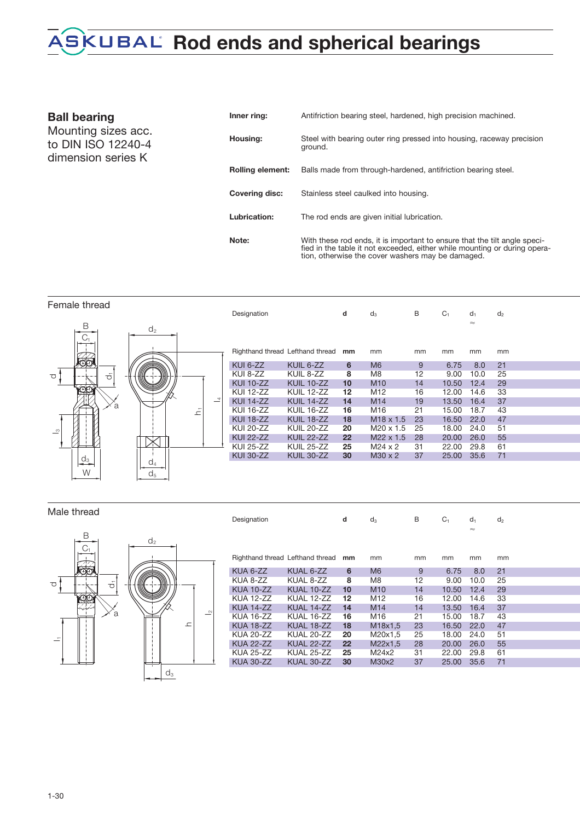## **REAL Rod ends and spherical bearings**

## **Ball bearing** Mounting sizes acc. to DIN ISO 12240-4 dimension series K

| Inner ring:           | Antifriction bearing steel, hardened, high precision machined.                                                                                                                                              |
|-----------------------|-------------------------------------------------------------------------------------------------------------------------------------------------------------------------------------------------------------|
| Housing:              | Steel with bearing outer ring pressed into housing, raceway precision<br>ground.                                                                                                                            |
| Rolling element:      | Balls made from through-hardened, antifriction bearing steel.                                                                                                                                               |
| <b>Covering disc:</b> | Stainless steel caulked into housing.                                                                                                                                                                       |
| Lubrication:          | The rod ends are given initial lubrication.                                                                                                                                                                 |
| Note:                 | With these rod ends, it is important to ensure that the tilt angle speci-<br>fied in the table it not exceeded, either while mounting or during opera-<br>tion, otherwise the cover washers may be damaged. |

## Female thread Designation **d** d<sub>3</sub> B C<sub>1</sub> d<sub>1</sub>  $d_2$  $\approx$ B  $d<sub>2</sub>$  $C_1$ Righthand thread Lefthand thread **mm** mm mm mm mm mm KUI 6-ZZ KUIL 6-ZZ **6** M6 9 6.75 8.0 21 KUI 8-ZZ KUIL 8-ZZ **8** M8 12 9.00 10.0 25 d $\dot{\sigma}$ KUI 10-ZZ KUIL 10-ZZ **10** M10 14 10.50 12.4 29 KUIL 12-**77** KUI 14-ZZ KUIL 14-ZZ **14** M14 19 13.50 16.4 37  $\overline{4}$ a KUI 16-ZZ KUIL 16-ZZ **16** M16 21 15.00 18.7 43  $\overline{\underline{\underline{\zeta}}}$ KUIL 18-ZZ 18 KUI 20-ZZ KUIL 20-ZZ **20** M20 x 1.5 25 18.00 24.0 51 l<sup>3</sup> KUI 22-ZZ KUIL 22-ZZ **22** M22 x 1.5 28 20.00 26.0 55  $\boxtimes$ KUI 25-ZZ KUIL 25-ZZ **25** M24 x 2 31<br>KUI 30-ZZ KUIL 30-ZZ **30** M30 x 2 37 KUI 30-ZZ KUIL 30-ZZ **30** M30 x 2 37 25.00 35.6 71 d  $d_4$ W  $d_f$

| Male thread         |       |        | Designation                      |            | d  |                                  | В  | $C_1$ |                 |       |
|---------------------|-------|--------|----------------------------------|------------|----|----------------------------------|----|-------|-----------------|-------|
|                     |       |        |                                  |            |    | $d_3$                            |    |       | $d_1$           | $d_2$ |
| В<br>C <sub>1</sub> | $d_2$ |        | Righthand thread Lefthand thread |            | mm | mm                               | mm | mm    | $\approx$<br>mm | mm    |
| É,                  |       |        | KUA 6-ZZ                         | KUAL 6-ZZ  | 6  | M <sub>6</sub>                   | 9  | 6.75  | 8.0             | 21    |
| ਨੌ<br>℧             |       |        | KUA 8-ZZ                         | KUAL 8-ZZ  | 8  | M <sub>8</sub>                   | 12 | 9.00  | 10.0            | 25    |
|                     |       |        | <b>KUA 10-ZZ</b>                 | KUAL 10-ZZ | 10 | M <sub>10</sub>                  | 14 | 10.50 | 12.4            | 29    |
| <b>SEA</b>          |       |        | <b>KUA 12-ZZ</b>                 | KUAL 12-ZZ | 12 | M <sub>12</sub>                  | 16 | 12.00 | 14.6            | 33    |
|                     |       | $\sim$ | <b>KUA 14-ZZ</b>                 | KUAL 14-ZZ | 14 | M <sub>14</sub>                  | 14 | 13.50 | 16.4            | 37    |
| a                   |       | —      | <b>KUA 16-ZZ</b>                 | KUAL 16-ZZ | 16 | M16                              | 21 | 15.00 | 18.7            | 43    |
|                     |       | ᇰ      | <b>KUA 18-ZZ</b>                 | KUAL 18-ZZ | 18 | M <sub>18</sub> x <sub>1.5</sub> | 23 | 16.50 | 22.0            | 47    |
| 上                   |       |        | <b>KUA 20-ZZ</b>                 | KUAL 20-ZZ | 20 | M20x1,5                          | 25 | 18.00 | 24.0            | 51    |
|                     |       |        | <b>KUA 22-ZZ</b>                 | KUAL 22-ZZ | 22 | M22x1,5                          | 28 | 20.00 | 26.0            | 55    |
|                     |       |        | <b>KUA 25-ZZ</b>                 | KUAL 25-ZZ | 25 | M24x2                            | 31 | 22.00 | 29.8            | 61    |
|                     |       |        | <b>KUA 30-ZZ</b>                 | KUAL 30-ZZ | 30 | M30x2                            | 37 | 25.00 | 35.6            | 71    |
|                     | $d_3$ |        |                                  |            |    |                                  |    |       |                 |       |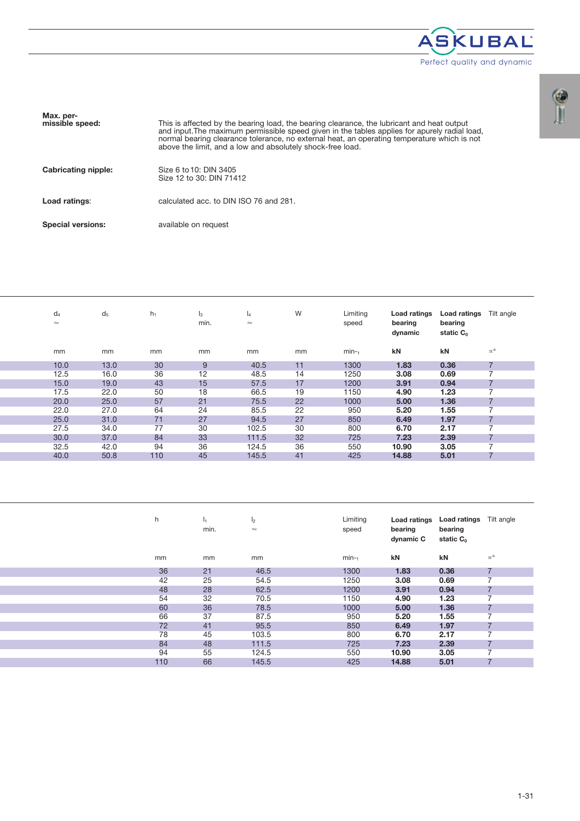



| Max. per-<br>missible speed: | This is affected by the bearing load, the bearing clearance, the lubricant and heat output<br>and input. The maximum permissible speed given in the tables applies for apurely radial load,<br>normal bearing clearance tolerance, no external heat, an operating temperature which is not<br>above the limit, and a low and absolutely shock-free load. |
|------------------------------|----------------------------------------------------------------------------------------------------------------------------------------------------------------------------------------------------------------------------------------------------------------------------------------------------------------------------------------------------------|
| Cabricating nipple:          | Size 6 to 10: DIN 3405<br>Size 12 to 30: DIN 71412                                                                                                                                                                                                                                                                                                       |
| Load ratings:                | calculated acc. to DIN ISO 76 and 281.                                                                                                                                                                                                                                                                                                                   |
| <b>Special versions:</b>     | available on request                                                                                                                                                                                                                                                                                                                                     |

| $d_4$<br>$\approx$ | d <sub>5</sub> | $h_1$ | l3<br>min. | $I_4$<br>$\approx$ | W  | Limiting<br>speed | Load ratings<br>bearing<br>dynamic | Load ratings<br>bearing<br>static $C_0$ | Tilt angle      |
|--------------------|----------------|-------|------------|--------------------|----|-------------------|------------------------------------|-----------------------------------------|-----------------|
| mm                 | mm             | mm    | mm         | mm                 | mm | $min_{-1}$        | kN                                 | kN                                      | $\propto^\circ$ |
| 10.0               | 13.0           | 30    | 9          | 40.5               | 11 | 1300              | 1.83                               | 0.36                                    | $\overline{ }$  |
| 12.5               | 16.0           | 36    | 12         | 48.5               | 14 | 1250              | 3.08                               | 0.69                                    | ⇁               |
| 15.0               | 19.0           | 43    | 15         | 57.5               | 17 | 1200              | 3.91                               | 0.94                                    | $\overline{7}$  |
| 17.5               | 22.0           | 50    | 18         | 66.5               | 19 | 1150              | 4.90                               | 1.23                                    | ⇁               |
| 20.0               | 25.0           | 57    | 21         | 75.5               | 22 | 1000              | 5.00                               | 1.36                                    | $\overline{7}$  |
| 22.0               | 27.0           | 64    | 24         | 85.5               | 22 | 950               | 5.20                               | 1.55                                    | 7               |
| 25.0               | 31.0           | 71    | 27         | 94.5               | 27 | 850               | 6.49                               | 1.97                                    | $\overline{7}$  |
| 27.5               | 34.0           | 77    | 30         | 102.5              | 30 | 800               | 6.70                               | 2.17                                    | 7               |
| 30.0               | 37.0           | 84    | 33         | 111.5              | 32 | 725               | 7.23                               | 2.39                                    | $\overline{ }$  |
| 32.5               | 42.0           | 94    | 36         | 124.5              | 36 | 550               | 10.90                              | 3.05                                    | ⇁               |
| 40.0               | 50.8           | 110   | 45         | 145.5              | 41 | 425               | 14.88                              | 5.01                                    | 7               |
|                    |                |       |            |                    |    |                   |                                    |                                         |                 |

| h |     | ı,<br>min. | I <sub>2</sub><br>$\approx$ | Limiting<br>speed | Load ratings<br>bearing<br>dynamic C | Load ratings<br>bearing<br>static $C_0$ | Tilt angle           |
|---|-----|------------|-----------------------------|-------------------|--------------------------------------|-----------------------------------------|----------------------|
|   | mm  | mm         | mm                          | $min_{-1}$        | kN                                   | kN                                      | $\propto^\mathrm{o}$ |
|   | 36  | 21         | 46.5                        | 1300              | 1.83                                 | 0.36                                    | $\overline{7}$       |
|   | 42  | 25         | 54.5                        | 1250              | 3.08                                 | 0.69                                    | 7                    |
|   | 48  | 28         | 62.5                        | 1200              | 3.91                                 | 0.94                                    | $\overline{7}$       |
|   | 54  | 32         | 70.5                        | 1150              | 4.90                                 | 1.23                                    | 7                    |
|   | 60  | 36         | 78.5                        | 1000              | 5.00                                 | 1.36                                    | 7                    |
|   | 66  | 37         | 87.5                        | 950               | 5.20                                 | 1.55                                    | $\overline{ }$       |
|   | 72  | 41         | 95.5                        | 850               | 6.49                                 | 1.97                                    | $\overline{7}$       |
|   | 78  | 45         | 103.5                       | 800               | 6.70                                 | 2.17                                    | $\overline{ }$       |
|   | 84  | 48         | 111.5                       | 725               | 7.23                                 | 2.39                                    | $\overline{7}$       |
|   | 94  | 55         | 124.5                       | 550               | 10.90                                | 3.05                                    | 7                    |
|   | 110 | 66         | 145.5                       | 425               | 14.88                                | 5.01                                    | $\overline{7}$       |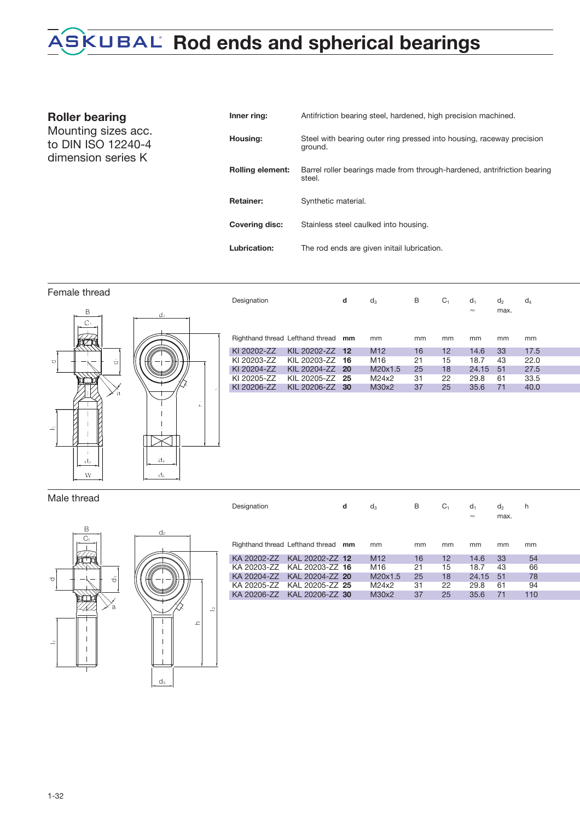## **REXUBAL Rod ends and spherical bearings**

**Roller bearing** Mounting sizes acc. to DIN ISO 12240-4 dimension series K

| Inner ring:           | Antifriction bearing steel, hardened, high precision machined.                     |
|-----------------------|------------------------------------------------------------------------------------|
| Housing:              | Steel with bearing outer ring pressed into housing, raceway precision<br>ground.   |
| Rolling element:      | Barrel roller bearings made from through-hardened, antrifriction bearing<br>steel. |
| <b>Retainer:</b>      | Synthetic material.                                                                |
| <b>Covering disc:</b> | Stainless steel caulked into housing.                                              |
| Lubrication:          | The rod ends are given initail lubrication.                                        |

| $\overline{B}$<br>$d_2$<br>$C_1$<br>$\bar{\varphi}$<br>$\circ$<br>$\overline{\phantom{0}}$<br>a<br>$\tilde{\pm}$<br>$\overline{c}$<br>$\mathrm{d}_4$<br>$d_3$<br>d <sub>5</sub><br>W |
|--------------------------------------------------------------------------------------------------------------------------------------------------------------------------------------|
|--------------------------------------------------------------------------------------------------------------------------------------------------------------------------------------|

|             | Righthand thread Lefthand thread mm |      | mm              | mm | mm | mm    | mm | mm   |  |
|-------------|-------------------------------------|------|-----------------|----|----|-------|----|------|--|
| KI 20202-77 | KII 20202-77 12                     |      | M <sub>12</sub> | 16 | 12 | 14.6  | 33 | 17.5 |  |
| KI 20203-77 | KII 20203-77                        | - 16 | M16             | 21 | 15 | 18.7  | 43 | 22.0 |  |
| KI 20204-77 | KII 20204-77 20                     |      | M20x1.5         | 25 | 18 | 24.15 | 51 | 27.5 |  |
| KI 20205-77 | KII 20205-77 25                     |      | M24x2           | 31 | 22 | 29.8  | 61 | 33.5 |  |
| KI 20206-77 | KII 20206-77                        | -30  | M30x2           | 37 | 25 | 35.6  | 71 | 40.0 |  |

 $\approx$ 

 $d_2$ max.  $d_4$ 

Designation **d** d<sub>3</sub> B C<sub>1</sub> d<sub>1</sub>

Male thread

Female thread



| Designation |                                  | d  | $d_3$           | в  | С. | $d_1$<br>$\approx$ | d,<br>max. | h   |
|-------------|----------------------------------|----|-----------------|----|----|--------------------|------------|-----|
|             |                                  |    |                 |    |    |                    |            |     |
|             | Righthand thread Lefthand thread | mm | mm              | mm | mm | mm                 | mm         | mm  |
| KA 20202-77 | KAL 20202-ZZ 12                  |    | M <sub>12</sub> | 16 | 12 | 14.6               | 33         | 54  |
| KA 20203-ZZ | KAL 20203-ZZ 16                  |    | M16             | 21 | 15 | 18.7               | 43         | 66  |
| KA 20204-77 | KAL 20204-ZZ 20                  |    | M20x1.5         | 25 | 18 | 24.15              | 51         | 78  |
| KA 20205-ZZ | KAL 20205-ZZ 25                  |    | M24x2           | 31 | 22 | 29.8               | 61         | 94  |
| KA 20206-ZZ | KAL 20206-ZZ 30                  |    | M30x2           | 37 | 25 | 35.6               | 71         | 110 |